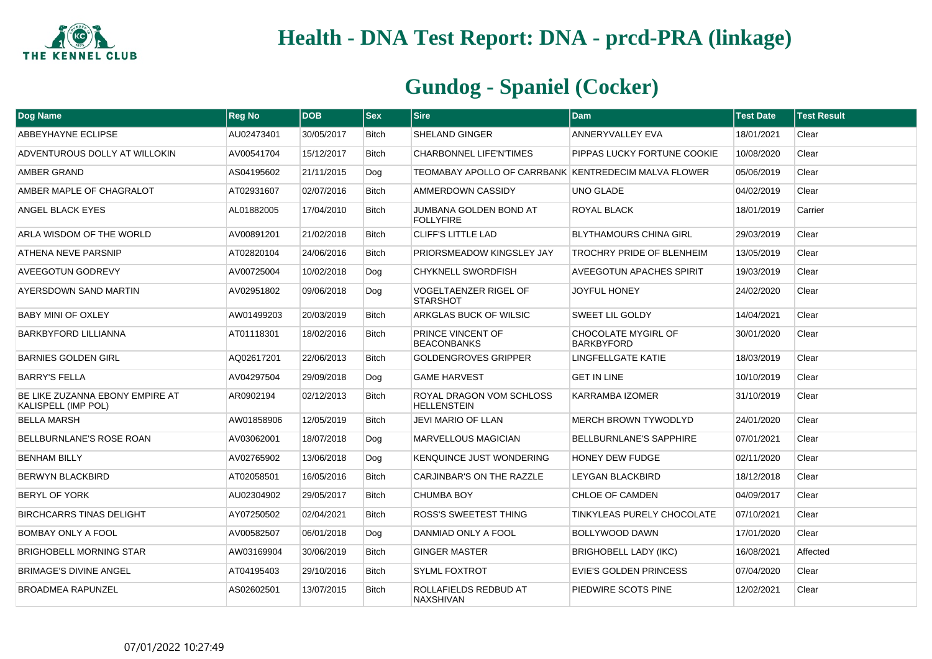

| Dog Name                                               | <b>Reg No</b> | <b>DOB</b> | <b>Sex</b>   | <b>Sire</b>                                          | Dam                                      | <b>Test Date</b> | <b>Test Result</b> |
|--------------------------------------------------------|---------------|------------|--------------|------------------------------------------------------|------------------------------------------|------------------|--------------------|
| <b>ABBEYHAYNE ECLIPSE</b>                              | AU02473401    | 30/05/2017 | <b>Bitch</b> | <b>SHELAND GINGER</b>                                | <b>ANNERYVALLEY EVA</b>                  | 18/01/2021       | Clear              |
| ADVENTUROUS DOLLY AT WILLOKIN                          | AV00541704    | 15/12/2017 | <b>Bitch</b> | <b>CHARBONNEL LIFE'N'TIMES</b>                       | PIPPAS LUCKY FORTUNE COOKIE              | 10/08/2020       | Clear              |
| AMBER GRAND                                            | AS04195602    | 21/11/2015 | Dog          | TEOMABAY APOLLO OF CARRBANK KENTREDECIM MALVA FLOWER |                                          | 05/06/2019       | Clear              |
| AMBER MAPLE OF CHAGRALOT                               | AT02931607    | 02/07/2016 | <b>Bitch</b> | AMMERDOWN CASSIDY                                    | UNO GLADE                                | 04/02/2019       | Clear              |
| ANGEL BLACK EYES                                       | AL01882005    | 17/04/2010 | <b>Bitch</b> | JUMBANA GOLDEN BOND AT<br><b>FOLLYFIRE</b>           | <b>ROYAL BLACK</b>                       | 18/01/2019       | Carrier            |
| ARLA WISDOM OF THE WORLD                               | AV00891201    | 21/02/2018 | <b>Bitch</b> | <b>CLIFF'S LITTLE LAD</b>                            | <b>BLYTHAMOURS CHINA GIRL</b>            | 29/03/2019       | Clear              |
| <b>ATHENA NEVE PARSNIP</b>                             | AT02820104    | 24/06/2016 | <b>Bitch</b> | PRIORSMEADOW KINGSLEY JAY                            | TROCHRY PRIDE OF BLENHEIM                | 13/05/2019       | Clear              |
| AVEEGOTUN GODREVY                                      | AV00725004    | 10/02/2018 | Dog          | <b>CHYKNELL SWORDFISH</b>                            | <b>AVEEGOTUN APACHES SPIRIT</b>          | 19/03/2019       | Clear              |
| AYERSDOWN SAND MARTIN                                  | AV02951802    | 09/06/2018 | Dog          | <b>VOGELTAENZER RIGEL OF</b><br><b>STARSHOT</b>      | <b>JOYFUL HONEY</b>                      | 24/02/2020       | Clear              |
| <b>BABY MINI OF OXLEY</b>                              | AW01499203    | 20/03/2019 | <b>Bitch</b> | ARKGLAS BUCK OF WILSIC                               | SWEET LIL GOLDY                          | 14/04/2021       | Clear              |
| BARKBYFORD LILLIANNA                                   | AT01118301    | 18/02/2016 | Bitch        | PRINCE VINCENT OF<br><b>BEACONBANKS</b>              | CHOCOLATE MYGIRL OF<br><b>BARKBYFORD</b> | 30/01/2020       | Clear              |
| <b>BARNIES GOLDEN GIRL</b>                             | AQ02617201    | 22/06/2013 | <b>Bitch</b> | <b>GOLDENGROVES GRIPPER</b>                          | <b>LINGFELLGATE KATIE</b>                | 18/03/2019       | Clear              |
| <b>BARRY'S FELLA</b>                                   | AV04297504    | 29/09/2018 | Dog          | <b>GAME HARVEST</b>                                  | <b>GET IN LINE</b>                       | 10/10/2019       | Clear              |
| BE LIKE ZUZANNA EBONY EMPIRE AT<br>KALISPELL (IMP POL) | AR0902194     | 02/12/2013 | <b>Bitch</b> | ROYAL DRAGON VOM SCHLOSS<br><b>HELLENSTEIN</b>       | <b>KARRAMBA IZOMER</b>                   | 31/10/2019       | Clear              |
| <b>BELLA MARSH</b>                                     | AW01858906    | 12/05/2019 | <b>Bitch</b> | <b>JEVI MARIO OF LLAN</b>                            | <b>MERCH BROWN TYWODLYD</b>              | 24/01/2020       | Clear              |
| BELLBURNLANE'S ROSE ROAN                               | AV03062001    | 18/07/2018 | Dog          | <b>MARVELLOUS MAGICIAN</b>                           | <b>BELLBURNLANE'S SAPPHIRE</b>           | 07/01/2021       | Clear              |
| <b>BENHAM BILLY</b>                                    | AV02765902    | 13/06/2018 | Dog          | <b>KENQUINCE JUST WONDERING</b>                      | <b>HONEY DEW FUDGE</b>                   | 02/11/2020       | Clear              |
| <b>BERWYN BLACKBIRD</b>                                | AT02058501    | 16/05/2016 | <b>Bitch</b> | CARJINBAR'S ON THE RAZZLE                            | <b>LEYGAN BLACKBIRD</b>                  | 18/12/2018       | Clear              |
| <b>BERYL OF YORK</b>                                   | AU02304902    | 29/05/2017 | <b>Bitch</b> | <b>CHUMBA BOY</b>                                    | CHLOE OF CAMDEN                          | 04/09/2017       | Clear              |
| <b>BIRCHCARRS TINAS DELIGHT</b>                        | AY07250502    | 02/04/2021 | <b>Bitch</b> | ROSS'S SWEETEST THING                                | <b>TINKYLEAS PURELY CHOCOLATE</b>        | 07/10/2021       | Clear              |
| BOMBAY ONLY A FOOL                                     | AV00582507    | 06/01/2018 | Dog          | DANMIAD ONLY A FOOL                                  | <b>BOLLYWOOD DAWN</b>                    | 17/01/2020       | Clear              |
| <b>BRIGHOBELL MORNING STAR</b>                         | AW03169904    | 30/06/2019 | <b>Bitch</b> | <b>GINGER MASTER</b>                                 | <b>BRIGHOBELL LADY (IKC)</b>             | 16/08/2021       | Affected           |
| <b>BRIMAGE'S DIVINE ANGEL</b>                          | AT04195403    | 29/10/2016 | Bitch        | <b>SYLML FOXTROT</b>                                 | EVIE'S GOLDEN PRINCESS                   | 07/04/2020       | Clear              |
| BROADMEA RAPUNZEL                                      | AS02602501    | 13/07/2015 | <b>Bitch</b> | ROLLAFIELDS REDBUD AT<br><b>NAXSHIVAN</b>            | PIEDWIRE SCOTS PINE                      | 12/02/2021       | Clear              |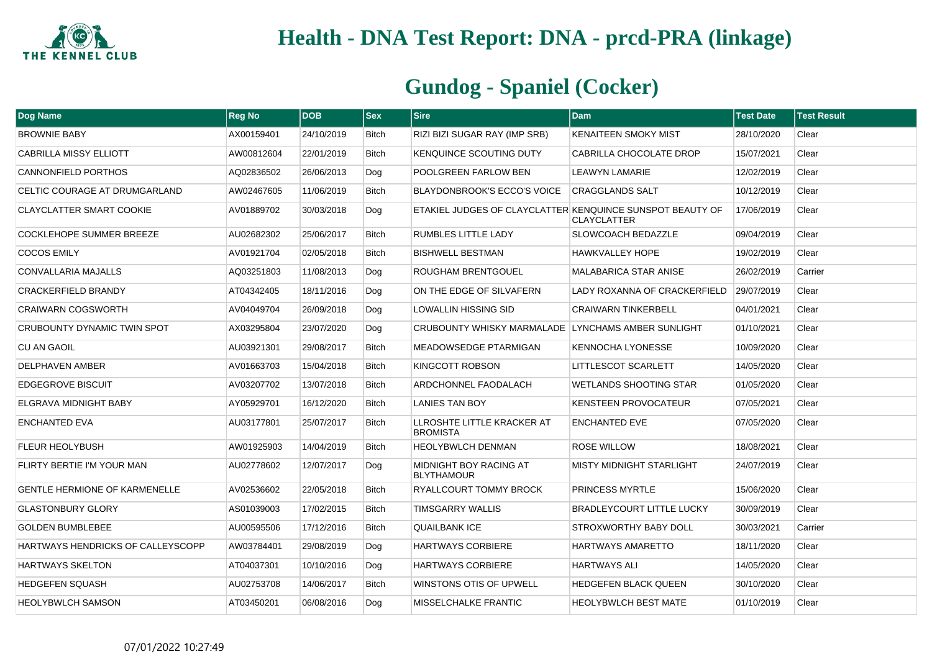

| <b>Dog Name</b>                      | <b>Reg No</b> | <b>DOB</b> | <b>Sex</b>   | <b>Sire</b>                                               | Dam                              | <b>Test Date</b> | <b>Test Result</b> |
|--------------------------------------|---------------|------------|--------------|-----------------------------------------------------------|----------------------------------|------------------|--------------------|
| <b>BROWNIE BABY</b>                  | AX00159401    | 24/10/2019 | <b>Bitch</b> | RIZI BIZI SUGAR RAY (IMP SRB)                             | <b>KENAITEEN SMOKY MIST</b>      | 28/10/2020       | Clear              |
| <b>CABRILLA MISSY ELLIOTT</b>        | AW00812604    | 22/01/2019 | <b>Bitch</b> | KENQUINCE SCOUTING DUTY                                   | CABRILLA CHOCOLATE DROP          | 15/07/2021       | Clear              |
| CANNONFIELD PORTHOS                  | AQ02836502    | 26/06/2013 | Dog          | POOLGREEN FARLOW BEN                                      | LEAWYN LAMARIE                   | 12/02/2019       | Clear              |
| CELTIC COURAGE AT DRUMGARLAND        | AW02467605    | 11/06/2019 | <b>Bitch</b> | BLAYDONBROOK'S ECCO'S VOICE                               | <b>CRAGGLANDS SALT</b>           | 10/12/2019       | Clear              |
| <b>CLAYCLATTER SMART COOKIE</b>      | AV01889702    | 30/03/2018 | Dog          | ETAKIEL JUDGES OF CLAYCLATTER KENQUINCE SUNSPOT BEAUTY OF | <b>CLAYCLATTER</b>               | 17/06/2019       | Clear              |
| COCKLEHOPE SUMMER BREEZE             | AU02682302    | 25/06/2017 | <b>Bitch</b> | <b>RUMBLES LITTLE LADY</b>                                | <b>SLOWCOACH BEDAZZLE</b>        | 09/04/2019       | Clear              |
| <b>COCOS EMILY</b>                   | AV01921704    | 02/05/2018 | <b>Bitch</b> | <b>BISHWELL BESTMAN</b>                                   | <b>HAWKVALLEY HOPE</b>           | 19/02/2019       | Clear              |
| CONVALLARIA MAJALLS                  | AQ03251803    | 11/08/2013 | Dog          | ROUGHAM BRENTGOUEL                                        | MALABARICA STAR ANISE            | 26/02/2019       | Carrier            |
| CRACKERFIELD BRANDY                  | AT04342405    | 18/11/2016 | Dog          | ON THE EDGE OF SILVAFERN                                  | LADY ROXANNA OF CRACKERFIELD     | 29/07/2019       | Clear              |
| <b>CRAIWARN COGSWORTH</b>            | AV04049704    | 26/09/2018 | Dog          | LOWALLIN HISSING SID                                      | <b>CRAIWARN TINKERBELL</b>       | 04/01/2021       | Clear              |
| CRUBOUNTY DYNAMIC TWIN SPOT          | AX03295804    | 23/07/2020 | Dog          | CRUBOUNTY WHISKY MARMALADE LYNCHAMS AMBER SUNLIGHT        |                                  | 01/10/2021       | Clear              |
| <b>CU AN GAOIL</b>                   | AU03921301    | 29/08/2017 | <b>Bitch</b> | MEADOWSEDGE PTARMIGAN                                     | <b>KENNOCHA LYONESSE</b>         | 10/09/2020       | Clear              |
| DELPHAVEN AMBER                      | AV01663703    | 15/04/2018 | <b>Bitch</b> | KINGCOTT ROBSON                                           | <b>LITTLESCOT SCARLETT</b>       | 14/05/2020       | Clear              |
| <b>EDGEGROVE BISCUIT</b>             | AV03207702    | 13/07/2018 | Bitch        | ARDCHONNEL FAODALACH                                      | WETLANDS SHOOTING STAR           | 01/05/2020       | Clear              |
| ELGRAVA MIDNIGHT BABY                | AY05929701    | 16/12/2020 | <b>Bitch</b> | <b>LANIES TAN BOY</b>                                     | <b>KENSTEEN PROVOCATEUR</b>      | 07/05/2021       | Clear              |
| <b>ENCHANTED EVA</b>                 | AU03177801    | 25/07/2017 | <b>Bitch</b> | LLROSHTE LITTLE KRACKER AT<br><b>BROMISTA</b>             | <b>ENCHANTED EVE</b>             | 07/05/2020       | Clear              |
| <b>FLEUR HEOLYBUSH</b>               | AW01925903    | 14/04/2019 | <b>Bitch</b> | <b>HEOLYBWLCH DENMAN</b>                                  | ROSE WILLOW                      | 18/08/2021       | Clear              |
| FLIRTY BERTIE I'M YOUR MAN           | AU02778602    | 12/07/2017 | Dog          | MIDNIGHT BOY RACING AT<br><b>BLYTHAMOUR</b>               | MISTY MIDNIGHT STARLIGHT         | 24/07/2019       | Clear              |
| <b>GENTLE HERMIONE OF KARMENELLE</b> | AV02536602    | 22/05/2018 | <b>Bitch</b> | RYALLCOURT TOMMY BROCK                                    | <b>PRINCESS MYRTLE</b>           | 15/06/2020       | Clear              |
| <b>GLASTONBURY GLORY</b>             | AS01039003    | 17/02/2015 | <b>Bitch</b> | <b>TIMSGARRY WALLIS</b>                                   | <b>BRADLEYCOURT LITTLE LUCKY</b> | 30/09/2019       | Clear              |
| <b>GOLDEN BUMBLEBEE</b>              | AU00595506    | 17/12/2016 | <b>Bitch</b> | <b>QUAILBANK ICE</b>                                      | <b>STROXWORTHY BABY DOLL</b>     | 30/03/2021       | Carrier            |
| HARTWAYS HENDRICKS OF CALLEYSCOPP    | AW03784401    | 29/08/2019 | Dog          | <b>HARTWAYS CORBIERE</b>                                  | <b>HARTWAYS AMARETTO</b>         | 18/11/2020       | Clear              |
| <b>HARTWAYS SKELTON</b>              | AT04037301    | 10/10/2016 | Dog          | <b>HARTWAYS CORBIERE</b>                                  | <b>HARTWAYS ALI</b>              | 14/05/2020       | Clear              |
| <b>HEDGEFEN SQUASH</b>               | AU02753708    | 14/06/2017 | <b>Bitch</b> | WINSTONS OTIS OF UPWELL                                   | <b>HEDGEFEN BLACK QUEEN</b>      | 30/10/2020       | Clear              |
| <b>HEOLYBWLCH SAMSON</b>             | AT03450201    | 06/08/2016 | Dog          | MISSELCHALKE FRANTIC                                      | <b>HEOLYBWLCH BEST MATE</b>      | 01/10/2019       | Clear              |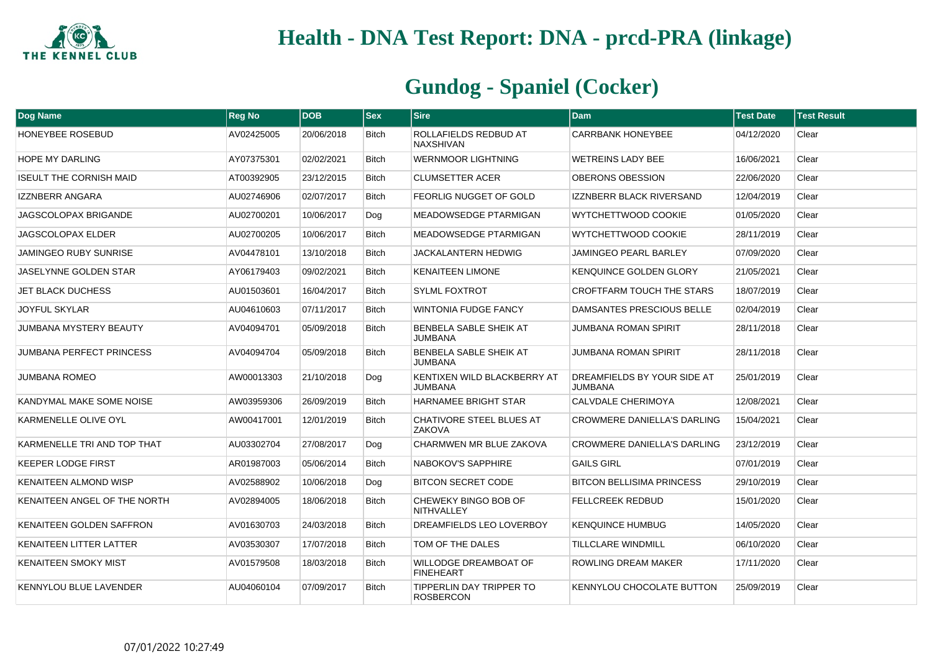

| <b>Dog Name</b>                 | <b>Reg No</b> | <b>DOB</b> | <b>Sex</b>   | <b>Sire</b>                                      | <b>Dam</b>                                    | <b>Test Date</b> | <b>Test Result</b> |
|---------------------------------|---------------|------------|--------------|--------------------------------------------------|-----------------------------------------------|------------------|--------------------|
| <b>HONEYBEE ROSEBUD</b>         | AV02425005    | 20/06/2018 | <b>Bitch</b> | ROLLAFIELDS REDBUD AT<br><b>NAXSHIVAN</b>        | <b>CARRBANK HONEYBEE</b>                      | 04/12/2020       | Clear              |
| <b>HOPE MY DARLING</b>          | AY07375301    | 02/02/2021 | <b>Bitch</b> | <b>WERNMOOR LIGHTNING</b>                        | <b>WETREINS LADY BEE</b>                      | 16/06/2021       | Clear              |
| <b>ISEULT THE CORNISH MAID</b>  | AT00392905    | 23/12/2015 | <b>Bitch</b> | <b>CLUMSETTER ACER</b>                           | OBERONS OBESSION                              | 22/06/2020       | Clear              |
| <b>IZZNBERR ANGARA</b>          | AU02746906    | 02/07/2017 | <b>Bitch</b> | <b>FEORLIG NUGGET OF GOLD</b>                    | <b>IZZNBERR BLACK RIVERSAND</b>               | 12/04/2019       | Clear              |
| JAGSCOLOPAX BRIGANDE            | AU02700201    | 10/06/2017 | Dog          | <b>MEADOWSEDGE PTARMIGAN</b>                     | WYTCHETTWOOD COOKIE                           | 01/05/2020       | Clear              |
| JAGSCOLOPAX ELDER               | AU02700205    | 10/06/2017 | <b>Bitch</b> | <b>MEADOWSEDGE PTARMIGAN</b>                     | WYTCHETTWOOD COOKIE                           | 28/11/2019       | Clear              |
| <b>JAMINGEO RUBY SUNRISE</b>    | AV04478101    | 13/10/2018 | <b>Bitch</b> | <b>JACKALANTERN HEDWIG</b>                       | <b>JAMINGEO PEARL BARLEY</b>                  | 07/09/2020       | Clear              |
| JASELYNNE GOLDEN STAR           | AY06179403    | 09/02/2021 | <b>Bitch</b> | <b>KENAITEEN LIMONE</b>                          | <b>KENQUINCE GOLDEN GLORY</b>                 | 21/05/2021       | Clear              |
| <b>JET BLACK DUCHESS</b>        | AU01503601    | 16/04/2017 | <b>Bitch</b> | <b>SYLML FOXTROT</b>                             | <b>CROFTFARM TOUCH THE STARS</b>              | 18/07/2019       | Clear              |
| <b>JOYFUL SKYLAR</b>            | AU04610603    | 07/11/2017 | <b>Bitch</b> | <b>WINTONIA FUDGE FANCY</b>                      | DAMSANTES PRESCIOUS BELLE                     | 02/04/2019       | Clear              |
| <b>JUMBANA MYSTERY BEAUTY</b>   | AV04094701    | 05/09/2018 | <b>Bitch</b> | BENBELA SABLE SHEIK AT<br><b>JUMBANA</b>         | <b>JUMBANA ROMAN SPIRIT</b>                   | 28/11/2018       | Clear              |
| <b>JUMBANA PERFECT PRINCESS</b> | AV04094704    | 05/09/2018 | <b>Bitch</b> | BENBELA SABLE SHEIK AT<br><b>JUMBANA</b>         | <b>JUMBANA ROMAN SPIRIT</b>                   | 28/11/2018       | Clear              |
| JUMBANA ROMEO                   | AW00013303    | 21/10/2018 | Dog          | KENTIXEN WILD BLACKBERRY AT<br><b>JUMBANA</b>    | DREAMFIELDS BY YOUR SIDE AT<br><b>JUMBANA</b> | 25/01/2019       | Clear              |
| KANDYMAL MAKE SOME NOISE        | AW03959306    | 26/09/2019 | <b>Bitch</b> | <b>HARNAMEE BRIGHT STAR</b>                      | <b>CALVDALE CHERIMOYA</b>                     | 12/08/2021       | Clear              |
| KARMENELLE OLIVE OYL            | AW00417001    | 12/01/2019 | <b>Bitch</b> | <b>CHATIVORE STEEL BLUES AT</b><br><b>ZAKOVA</b> | <b>CROWMERE DANIELLA'S DARLING</b>            | 15/04/2021       | Clear              |
| KARMENELLE TRI AND TOP THAT     | AU03302704    | 27/08/2017 | Dog          | CHARMWEN MR BLUE ZAKOVA                          | <b>CROWMERE DANIELLA'S DARLING</b>            | 23/12/2019       | Clear              |
| <b>KEEPER LODGE FIRST</b>       | AR01987003    | 05/06/2014 | <b>Bitch</b> | NABOKOV'S SAPPHIRE                               | <b>GAILS GIRL</b>                             | 07/01/2019       | Clear              |
| <b>KENAITEEN ALMOND WISP</b>    | AV02588902    | 10/06/2018 | Dog          | <b>BITCON SECRET CODE</b>                        | <b>BITCON BELLISIMA PRINCESS</b>              | 29/10/2019       | Clear              |
| KENAITEEN ANGEL OF THE NORTH    | AV02894005    | 18/06/2018 | <b>Bitch</b> | CHEWEKY BINGO BOB OF<br>NITHVALLEY               | <b>FELLCREEK REDBUD</b>                       | 15/01/2020       | Clear              |
| KENAITEEN GOLDEN SAFFRON        | AV01630703    | 24/03/2018 | <b>Bitch</b> | DREAMFIELDS LEO LOVERBOY                         | <b>KENOUINCE HUMBUG</b>                       | 14/05/2020       | Clear              |
| <b>KENAITEEN LITTER LATTER</b>  | AV03530307    | 17/07/2018 | <b>Bitch</b> | TOM OF THE DALES                                 | <b>TILLCLARE WINDMILL</b>                     | 06/10/2020       | Clear              |
| <b>KENAITEEN SMOKY MIST</b>     | AV01579508    | 18/03/2018 | <b>Bitch</b> | WILLODGE DREAMBOAT OF<br><b>FINEHEART</b>        | <b>ROWLING DREAM MAKER</b>                    | 17/11/2020       | Clear              |
| <b>KENNYLOU BLUE LAVENDER</b>   | AU04060104    | 07/09/2017 | <b>Bitch</b> | TIPPERLIN DAY TRIPPER TO<br><b>ROSBERCON</b>     | KENNYLOU CHOCOLATE BUTTON                     | 25/09/2019       | Clear              |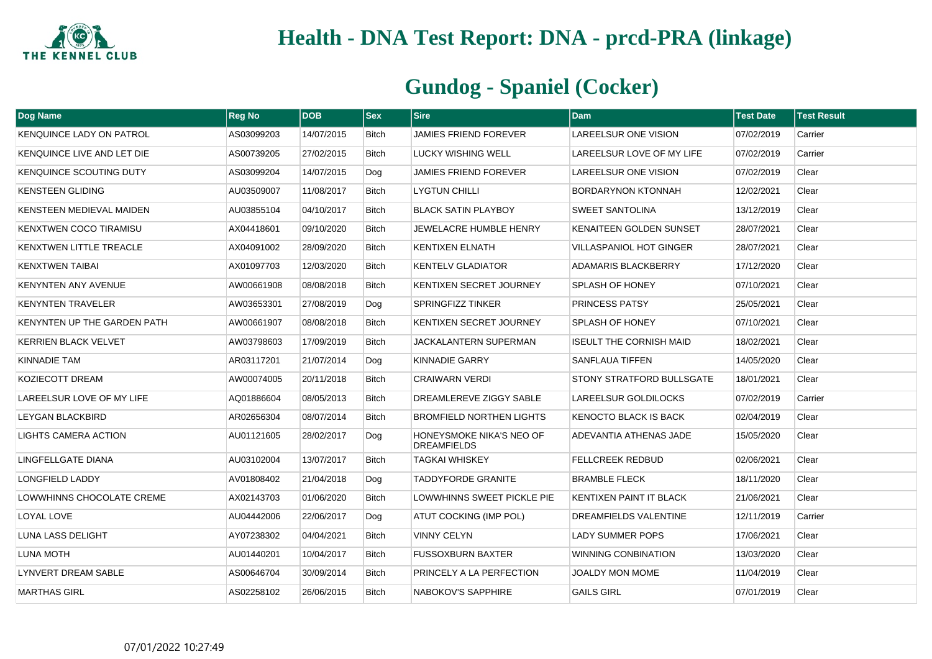

| <b>Dog Name</b>                 | <b>Reg No</b> | <b>DOB</b> | $ s_{ex} $   | <b>Sire</b>                                    | <b>Dam</b>                       | <b>Test Date</b> | <b>Test Result</b> |
|---------------------------------|---------------|------------|--------------|------------------------------------------------|----------------------------------|------------------|--------------------|
| <b>KENQUINCE LADY ON PATROL</b> | AS03099203    | 14/07/2015 | Bitch        | JAMIES FRIEND FOREVER                          | LAREELSUR ONE VISION             | 07/02/2019       | Carrier            |
| KENQUINCE LIVE AND LET DIE      | AS00739205    | 27/02/2015 | <b>Bitch</b> | <b>LUCKY WISHING WELL</b>                      | LAREELSUR LOVE OF MY LIFE        | 07/02/2019       | Carrier            |
| KENQUINCE SCOUTING DUTY         | AS03099204    | 14/07/2015 | Dog          | <b>JAMIES FRIEND FOREVER</b>                   | LAREELSUR ONE VISION             | 07/02/2019       | Clear              |
| <b>KENSTEEN GLIDING</b>         | AU03509007    | 11/08/2017 | <b>Bitch</b> | <b>LYGTUN CHILLI</b>                           | <b>BORDARYNON KTONNAH</b>        | 12/02/2021       | Clear              |
| KENSTEEN MEDIEVAL MAIDEN        | AU03855104    | 04/10/2017 | Bitch        | BLACK SATIN PLAYBOY                            | <b>SWEET SANTOLINA</b>           | 13/12/2019       | Clear              |
| KENXTWEN COCO TIRAMISU          | AX04418601    | 09/10/2020 | <b>Bitch</b> | JEWELACRE HUMBLE HENRY                         | KENAITEEN GOLDEN SUNSET          | 28/07/2021       | Clear              |
| <b>KENXTWEN LITTLE TREACLE</b>  | AX04091002    | 28/09/2020 | <b>Bitch</b> | <b>KENTIXEN ELNATH</b>                         | <b>VILLASPANIOL HOT GINGER</b>   | 28/07/2021       | Clear              |
| <b>KENXTWEN TAIBAI</b>          | AX01097703    | 12/03/2020 | <b>Bitch</b> | <b>KENTELV GLADIATOR</b>                       | <b>ADAMARIS BLACKBERRY</b>       | 17/12/2020       | Clear              |
| <b>KENYNTEN ANY AVENUE</b>      | AW00661908    | 08/08/2018 | <b>Bitch</b> | KENTIXEN SECRET JOURNEY                        | <b>SPLASH OF HONEY</b>           | 07/10/2021       | Clear              |
| <b>KENYNTEN TRAVELER</b>        | AW03653301    | 27/08/2019 | Dog          | <b>SPRINGFIZZ TINKER</b>                       | PRINCESS PATSY                   | 25/05/2021       | Clear              |
| KENYNTEN UP THE GARDEN PATH     | AW00661907    | 08/08/2018 | <b>Bitch</b> | KENTIXEN SECRET JOURNEY                        | <b>SPLASH OF HONEY</b>           | 07/10/2021       | Clear              |
| <b>KERRIEN BLACK VELVET</b>     | AW03798603    | 17/09/2019 | Bitch        | JACKALANTERN SUPERMAN                          | <b>ISEULT THE CORNISH MAID</b>   | 18/02/2021       | Clear              |
| KINNADIE TAM                    | AR03117201    | 21/07/2014 | Dog          | <b>KINNADIE GARRY</b>                          | <b>SANFLAUA TIFFEN</b>           | 14/05/2020       | Clear              |
| KOZIECOTT DREAM                 | AW00074005    | 20/11/2018 | <b>Bitch</b> | <b>CRAIWARN VERDI</b>                          | <b>STONY STRATFORD BULLSGATE</b> | 18/01/2021       | Clear              |
| LAREELSUR LOVE OF MY LIFE       | AQ01886604    | 08/05/2013 | <b>Bitch</b> | DREAMLEREVE ZIGGY SABLE                        | LAREELSUR GOLDILOCKS             | 07/02/2019       | Carrier            |
| LEYGAN BLACKBIRD                | AR02656304    | 08/07/2014 | Bitch        | <b>BROMFIELD NORTHEN LIGHTS</b>                | KENOCTO BLACK IS BACK            | 02/04/2019       | Clear              |
| LIGHTS CAMERA ACTION            | AU01121605    | 28/02/2017 | Dog          | HONEYSMOKE NIKA'S NEO OF<br><b>DREAMFIELDS</b> | ADEVANTIA ATHENAS JADE           | 15/05/2020       | Clear              |
| LINGFELLGATE DIANA              | AU03102004    | 13/07/2017 | <b>Bitch</b> | <b>TAGKAI WHISKEY</b>                          | <b>FELLCREEK REDBUD</b>          | 02/06/2021       | Clear              |
| <b>LONGFIELD LADDY</b>          | AV01808402    | 21/04/2018 | Dog          | <b>TADDYFORDE GRANITE</b>                      | <b>BRAMBLE FLECK</b>             | 18/11/2020       | Clear              |
| LOWWHINNS CHOCOLATE CREME       | AX02143703    | 01/06/2020 | <b>Bitch</b> | LOWWHINNS SWEET PICKLE PIE                     | <b>KENTIXEN PAINT IT BLACK</b>   | 21/06/2021       | Clear              |
| LOYAL LOVE                      | AU04442006    | 22/06/2017 | Dog          | <b>ATUT COCKING (IMP POL)</b>                  | DREAMFIELDS VALENTINE            | 12/11/2019       | Carrier            |
| LUNA LASS DELIGHT               | AY07238302    | 04/04/2021 | <b>Bitch</b> | <b>VINNY CELYN</b>                             | <b>LADY SUMMER POPS</b>          | 17/06/2021       | Clear              |
| LUNA MOTH                       | AU01440201    | 10/04/2017 | Bitch        | <b>FUSSOXBURN BAXTER</b>                       | WINNING CONBINATION              | 13/03/2020       | Clear              |
| <b>LYNVERT DREAM SABLE</b>      | AS00646704    | 30/09/2014 | Bitch        | PRINCELY A LA PERFECTION                       | JOALDY MON MOME                  | 11/04/2019       | Clear              |
| <b>MARTHAS GIRL</b>             | AS02258102    | 26/06/2015 | <b>Bitch</b> | NABOKOV'S SAPPHIRE                             | <b>GAILS GIRL</b>                | 07/01/2019       | Clear              |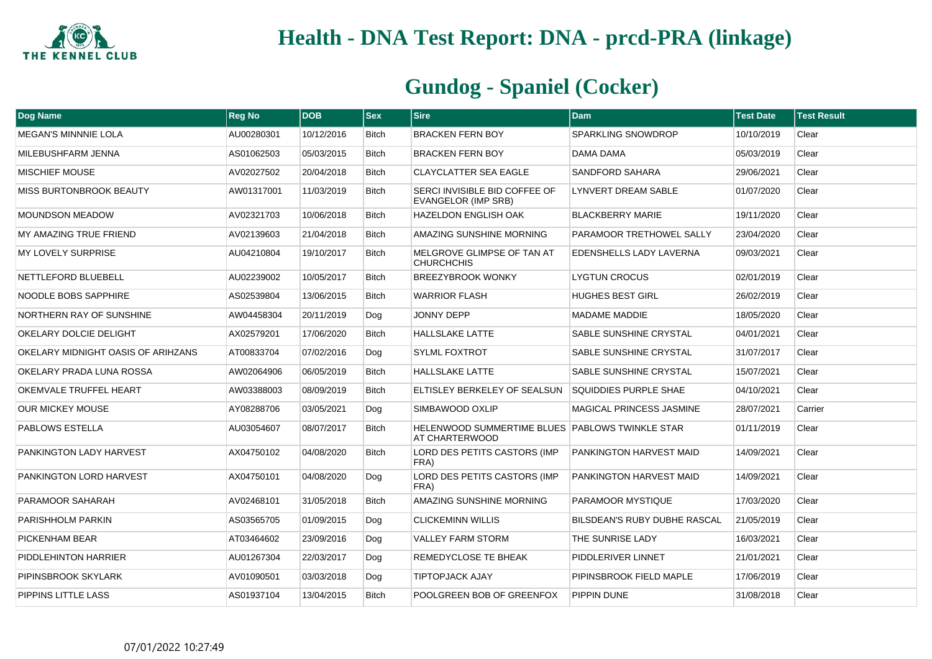

| Dog Name                           | <b>Reg No</b> | <b>DOB</b> | <b>Sex</b>   | <b>Sire</b>                                                       | <b>Dam</b>                          | <b>Test Date</b> | <b>Test Result</b> |
|------------------------------------|---------------|------------|--------------|-------------------------------------------------------------------|-------------------------------------|------------------|--------------------|
| <b>MEGAN'S MINNNIE LOLA</b>        | AU00280301    | 10/12/2016 | <b>Bitch</b> | <b>BRACKEN FERN BOY</b>                                           | <b>SPARKLING SNOWDROP</b>           | 10/10/2019       | Clear              |
| MILEBUSHFARM JENNA                 | AS01062503    | 05/03/2015 | <b>Bitch</b> | <b>BRACKEN FERN BOY</b>                                           | <b>DAMA DAMA</b>                    | 05/03/2019       | Clear              |
| <b>MISCHIEF MOUSE</b>              | AV02027502    | 20/04/2018 | <b>Bitch</b> | <b>CLAYCLATTER SEA EAGLE</b>                                      | <b>SANDFORD SAHARA</b>              | 29/06/2021       | Clear              |
| MISS BURTONBROOK BEAUTY            | AW01317001    | 11/03/2019 | <b>Bitch</b> | SERCI INVISIBLE BID COFFEE OF<br><b>EVANGELOR (IMP SRB)</b>       | LYNVERT DREAM SABLE                 | 01/07/2020       | Clear              |
| <b>MOUNDSON MEADOW</b>             | AV02321703    | 10/06/2018 | <b>Bitch</b> | <b>HAZELDON ENGLISH OAK</b>                                       | <b>BLACKBERRY MARIE</b>             | 19/11/2020       | Clear              |
| MY AMAZING TRUE FRIEND             | AV02139603    | 21/04/2018 | <b>Bitch</b> | AMAZING SUNSHINE MORNING                                          | PARAMOOR TRETHOWEL SALLY            | 23/04/2020       | Clear              |
| <b>MY LOVELY SURPRISE</b>          | AU04210804    | 19/10/2017 | <b>Bitch</b> | MELGROVE GLIMPSE OF TAN AT<br><b>CHURCHCHIS</b>                   | <b>EDENSHELLS LADY LAVERNA</b>      | 09/03/2021       | Clear              |
| NETTLEFORD BLUEBELL                | AU02239002    | 10/05/2017 | <b>Bitch</b> | BREEZYBROOK WONKY                                                 | <b>LYGTUN CROCUS</b>                | 02/01/2019       | Clear              |
| NOODLE BOBS SAPPHIRE               | AS02539804    | 13/06/2015 | <b>Bitch</b> | <b>WARRIOR FLASH</b>                                              | <b>HUGHES BEST GIRL</b>             | 26/02/2019       | Clear              |
| NORTHERN RAY OF SUNSHINE           | AW04458304    | 20/11/2019 | Dog          | <b>JONNY DEPP</b>                                                 | <b>MADAME MADDIE</b>                | 18/05/2020       | Clear              |
| OKELARY DOLCIE DELIGHT             | AX02579201    | 17/06/2020 | <b>Bitch</b> | <b>HALLSLAKE LATTE</b>                                            | SABLE SUNSHINE CRYSTAL              | 04/01/2021       | Clear              |
| OKELARY MIDNIGHT OASIS OF ARIHZANS | AT00833704    | 07/02/2016 | Dog          | SYLML FOXTROT                                                     | <b>SABLE SUNSHINE CRYSTAL</b>       | 31/07/2017       | Clear              |
| OKELARY PRADA LUNA ROSSA           | AW02064906    | 06/05/2019 | <b>Bitch</b> | <b>HALLSLAKE LATTE</b>                                            | <b>SABLE SUNSHINE CRYSTAL</b>       | 15/07/2021       | Clear              |
| OKEMVALE TRUFFEL HEART             | AW03388003    | 08/09/2019 | <b>Bitch</b> | ELTISLEY BERKELEY OF SEALSUN                                      | <b>SQUIDDIES PURPLE SHAE</b>        | 04/10/2021       | Clear              |
| <b>OUR MICKEY MOUSE</b>            | AY08288706    | 03/05/2021 | Dog          | SIMBAWOOD OXLIP                                                   | <b>MAGICAL PRINCESS JASMINE</b>     | 28/07/2021       | Carrier            |
| PABLOWS ESTELLA                    | AU03054607    | 08/07/2017 | <b>Bitch</b> | HELENWOOD SUMMERTIME BLUES PABLOWS TWINKLE STAR<br>AT CHARTERWOOD |                                     | 01/11/2019       | Clear              |
| PANKINGTON LADY HARVEST            | AX04750102    | 04/08/2020 | <b>Bitch</b> | LORD DES PETITS CASTORS (IMP<br>FRA)                              | PANKINGTON HARVEST MAID             | 14/09/2021       | Clear              |
| PANKINGTON LORD HARVEST            | AX04750101    | 04/08/2020 | Dog          | LORD DES PETITS CASTORS (IMP<br>FRA)                              | PANKINGTON HARVEST MAID             | 14/09/2021       | Clear              |
| PARAMOOR SAHARAH                   | AV02468101    | 31/05/2018 | <b>Bitch</b> | AMAZING SUNSHINE MORNING                                          | PARAMOOR MYSTIQUE                   | 17/03/2020       | Clear              |
| <b>PARISHHOLM PARKIN</b>           | AS03565705    | 01/09/2015 | Dog          | <b>CLICKEMINN WILLIS</b>                                          | <b>BILSDEAN'S RUBY DUBHE RASCAL</b> | 21/05/2019       | Clear              |
| PICKENHAM BEAR                     | AT03464602    | 23/09/2016 | Dog          | <b>VALLEY FARM STORM</b>                                          | THE SUNRISE LADY                    | 16/03/2021       | Clear              |
| PIDDLEHINTON HARRIER               | AU01267304    | 22/03/2017 | Dog          | REMEDYCLOSE TE BHEAK                                              | PIDDLERIVER LINNET                  | 21/01/2021       | Clear              |
| PIPINSBROOK SKYLARK                | AV01090501    | 03/03/2018 | Dog          | <b>TIPTOPJACK AJAY</b>                                            | PIPINSBROOK FIELD MAPLE             | 17/06/2019       | Clear              |
| PIPPINS LITTLE LASS                | AS01937104    | 13/04/2015 | <b>Bitch</b> | POOLGREEN BOB OF GREENFOX                                         | PIPPIN DUNE                         | 31/08/2018       | Clear              |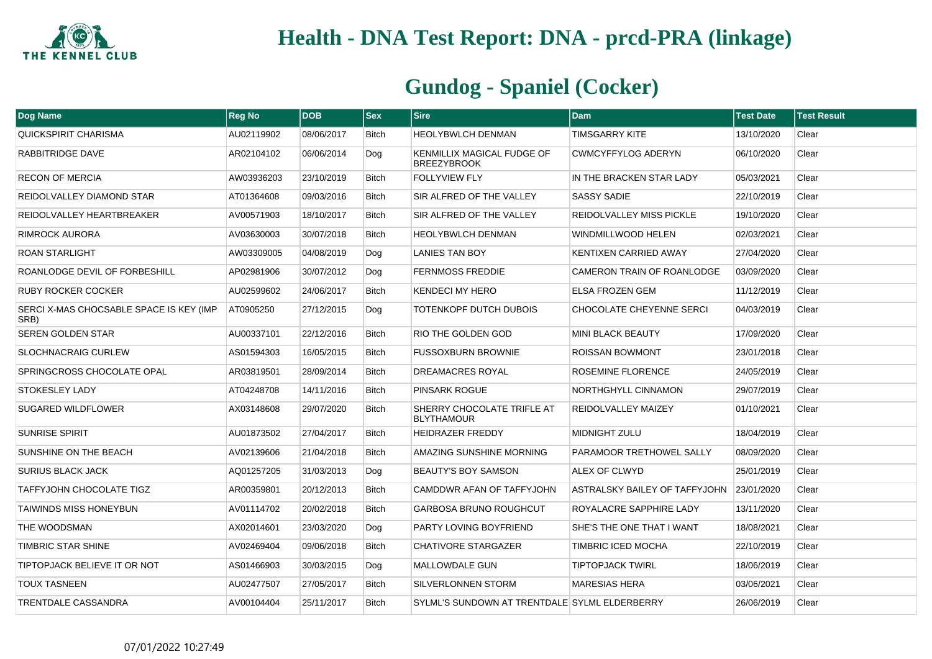

| <b>Dog Name</b>                                 | <b>Reg No</b> | <b>DOB</b> | <b>Sex</b>   | <b>Sire</b>                                      | <b>Dam</b>                           | <b>Test Date</b> | <b>Test Result</b> |
|-------------------------------------------------|---------------|------------|--------------|--------------------------------------------------|--------------------------------------|------------------|--------------------|
| <b>QUICKSPIRIT CHARISMA</b>                     | AU02119902    | 08/06/2017 | <b>Bitch</b> | <b>HEOLYBWLCH DENMAN</b>                         | TIMSGARRY KITE                       | 13/10/2020       | Clear              |
| RABBITRIDGE DAVE                                | AR02104102    | 06/06/2014 | Dog          | KENMILLIX MAGICAL FUDGE OF<br><b>BREEZYBROOK</b> | <b>CWMCYFFYLOG ADERYN</b>            | 06/10/2020       | Clear              |
| <b>RECON OF MERCIA</b>                          | AW03936203    | 23/10/2019 | <b>Bitch</b> | <b>FOLLYVIEW FLY</b>                             | IN THE BRACKEN STAR LADY             | 05/03/2021       | Clear              |
| REIDOLVALLEY DIAMOND STAR                       | AT01364608    | 09/03/2016 | <b>Bitch</b> | SIR ALFRED OF THE VALLEY                         | <b>SASSY SADIE</b>                   | 22/10/2019       | Clear              |
| REIDOLVALLEY HEARTBREAKER                       | AV00571903    | 18/10/2017 | <b>Bitch</b> | SIR ALFRED OF THE VALLEY                         | REIDOLVALLEY MISS PICKLE             | 19/10/2020       | Clear              |
| RIMROCK AURORA                                  | AV03630003    | 30/07/2018 | Bitch        | <b>HEOLYBWLCH DENMAN</b>                         | <b>WINDMILLWOOD HELEN</b>            | 02/03/2021       | Clear              |
| ROAN STARLIGHT                                  | AW03309005    | 04/08/2019 | Dog          | LANIES TAN BOY                                   | <b>KENTIXEN CARRIED AWAY</b>         | 27/04/2020       | Clear              |
| ROANLODGE DEVIL OF FORBESHILL                   | AP02981906    | 30/07/2012 | Dog          | <b>FERNMOSS FREDDIE</b>                          | CAMERON TRAIN OF ROANLODGE           | 03/09/2020       | Clear              |
| <b>RUBY ROCKER COCKER</b>                       | AU02599602    | 24/06/2017 | <b>Bitch</b> | <b>KENDECI MY HERO</b>                           | <b>ELSA FROZEN GEM</b>               | 11/12/2019       | Clear              |
| SERCI X-MAS CHOCSABLE SPACE IS KEY (IMP<br>SRB) | AT0905250     | 27/12/2015 | Dog          | TOTENKOPF DUTCH DUBOIS                           | <b>CHOCOLATE CHEYENNE SERCI</b>      | 04/03/2019       | Clear              |
| <b>SEREN GOLDEN STAR</b>                        | AU00337101    | 22/12/2016 | <b>Bitch</b> | RIO THE GOLDEN GOD                               | <b>MINI BLACK BEAUTY</b>             | 17/09/2020       | Clear              |
| <b>SLOCHNACRAIG CURLEW</b>                      | AS01594303    | 16/05/2015 | <b>Bitch</b> | <b>FUSSOXBURN BROWNIE</b>                        | <b>ROISSAN BOWMONT</b>               | 23/01/2018       | Clear              |
| SPRINGCROSS CHOCOLATE OPAL                      | AR03819501    | 28/09/2014 | <b>Bitch</b> | <b>DREAMACRES ROYAL</b>                          | <b>ROSEMINE FLORENCE</b>             | 24/05/2019       | Clear              |
| STOKESLEY LADY                                  | AT04248708    | 14/11/2016 | <b>Bitch</b> | PINSARK ROGUE                                    | NORTHGHYLL CINNAMON                  | 29/07/2019       | Clear              |
| SUGARED WILDFLOWER                              | AX03148608    | 29/07/2020 | <b>Bitch</b> | SHERRY CHOCOLATE TRIFLE AT<br><b>BLYTHAMOUR</b>  | REIDOLVALLEY MAIZEY                  | 01/10/2021       | Clear              |
| <b>SUNRISE SPIRIT</b>                           | AU01873502    | 27/04/2017 | <b>Bitch</b> | <b>HEIDRAZER FREDDY</b>                          | MIDNIGHT ZULU                        | 18/04/2019       | Clear              |
| SUNSHINE ON THE BEACH                           | AV02139606    | 21/04/2018 | <b>Bitch</b> | AMAZING SUNSHINE MORNING                         | PARAMOOR TRETHOWEL SALLY             | 08/09/2020       | Clear              |
| <b>SURIUS BLACK JACK</b>                        | AQ01257205    | 31/03/2013 | Dog          | <b>BEAUTY'S BOY SAMSON</b>                       | ALEX OF CLWYD                        | 25/01/2019       | Clear              |
| <b>TAFFYJOHN CHOCOLATE TIGZ</b>                 | AR00359801    | 20/12/2013 | <b>Bitch</b> | CAMDDWR AFAN OF TAFFYJOHN                        | <b>ASTRALSKY BAILEY OF TAFFYJOHN</b> | 23/01/2020       | Clear              |
| <b>TAIWINDS MISS HONEYBUN</b>                   | AV01114702    | 20/02/2018 | Bitch        | <b>GARBOSA BRUNO ROUGHCUT</b>                    | ROYALACRE SAPPHIRE LADY              | 13/11/2020       | Clear              |
| THE WOODSMAN                                    | AX02014601    | 23/03/2020 | Dog          | PARTY LOVING BOYFRIEND                           | SHE'S THE ONE THAT I WANT            | 18/08/2021       | Clear              |
| TIMBRIC STAR SHINE                              | AV02469404    | 09/06/2018 | <b>Bitch</b> | <b>CHATIVORE STARGAZER</b>                       | TIMBRIC ICED MOCHA                   | 22/10/2019       | Clear              |
| TIPTOPJACK BELIEVE IT OR NOT                    | AS01466903    | 30/03/2015 | Dog          | MALLOWDALE GUN                                   | <b>TIPTOPJACK TWIRL</b>              | 18/06/2019       | Clear              |
| <b>TOUX TASNEEN</b>                             | AU02477507    | 27/05/2017 | <b>Bitch</b> | SILVERLONNEN STORM                               | <b>MARESIAS HERA</b>                 | 03/06/2021       | Clear              |
| TRENTDALE CASSANDRA                             | AV00104404    | 25/11/2017 | <b>Bitch</b> | SYLML'S SUNDOWN AT TRENTDALE SYLML ELDERBERRY    |                                      | 26/06/2019       | Clear              |